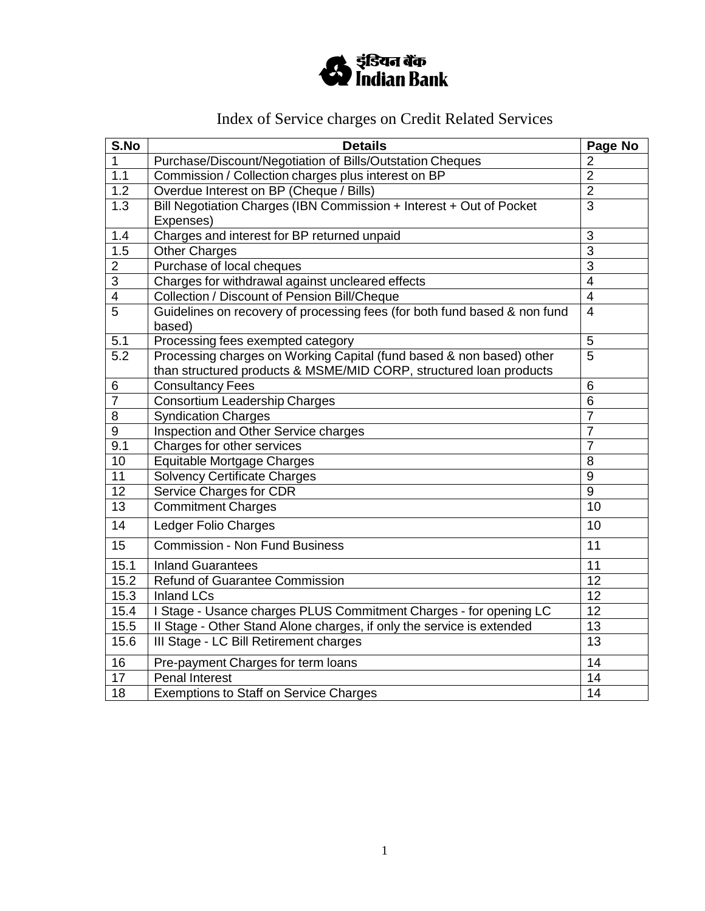

# Index of Service charges on Credit Related Services

| S.No             | <b>Details</b>                                                            | Page No          |
|------------------|---------------------------------------------------------------------------|------------------|
| 1                | Purchase/Discount/Negotiation of Bills/Outstation Cheques                 | $\overline{2}$   |
| 1.1              | Commission / Collection charges plus interest on BP                       | $\overline{2}$   |
| 1.2              | Overdue Interest on BP (Cheque / Bills)                                   | $\overline{2}$   |
| $\overline{1.3}$ | Bill Negotiation Charges (IBN Commission + Interest + Out of Pocket       | $\overline{3}$   |
|                  | Expenses)                                                                 |                  |
| 1.4              | Charges and interest for BP returned unpaid                               | 3                |
| 1.5              | <b>Other Charges</b>                                                      | $\overline{3}$   |
| $\overline{2}$   | Purchase of local cheques                                                 | 3                |
| 3                | Charges for withdrawal against uncleared effects                          | $\overline{4}$   |
| $\overline{4}$   | Collection / Discount of Pension Bill/Cheque                              | $\overline{4}$   |
| $\overline{5}$   | Guidelines on recovery of processing fees (for both fund based & non fund | $\overline{4}$   |
|                  | based)                                                                    |                  |
| 5.1              | Processing fees exempted category                                         | 5                |
| 5.2              | Processing charges on Working Capital (fund based & non based) other      | 5                |
|                  | than structured products & MSME/MID CORP, structured loan products        |                  |
| 6                | <b>Consultancy Fees</b>                                                   | 6                |
| $\overline{7}$   | Consortium Leadership Charges                                             | 6                |
| 8                | Syndication Charges                                                       | $\overline{7}$   |
| 9                | Inspection and Other Service charges                                      | 7                |
| 9.1              | Charges for other services                                                | $\overline{7}$   |
| 10               | Equitable Mortgage Charges                                                | 8                |
| $\overline{11}$  | <b>Solvency Certificate Charges</b>                                       | 9                |
| $\overline{12}$  | Service Charges for CDR                                                   | $\boldsymbol{9}$ |
| $\overline{13}$  | <b>Commitment Charges</b>                                                 | 10               |
| $\overline{14}$  | <b>Ledger Folio Charges</b>                                               | 10               |
| $\overline{15}$  | <b>Commission - Non Fund Business</b>                                     | 11               |
| 15.1             | <b>Inland Guarantees</b>                                                  | 11               |
| 15.2             | Refund of Guarantee Commission                                            | 12               |
| 15.3             | <b>Inland LCs</b>                                                         | $\overline{12}$  |
| 15.4             | I Stage - Usance charges PLUS Commitment Charges - for opening LC         | $\overline{12}$  |
| 15.5             | Il Stage - Other Stand Alone charges, if only the service is extended     | 13               |
| 15.6             | III Stage - LC Bill Retirement charges                                    | 13               |
| 16               | Pre-payment Charges for term loans                                        | 14               |
| $\overline{17}$  | <b>Penal Interest</b>                                                     | 14               |
| $\overline{18}$  | <b>Exemptions to Staff on Service Charges</b>                             | 14               |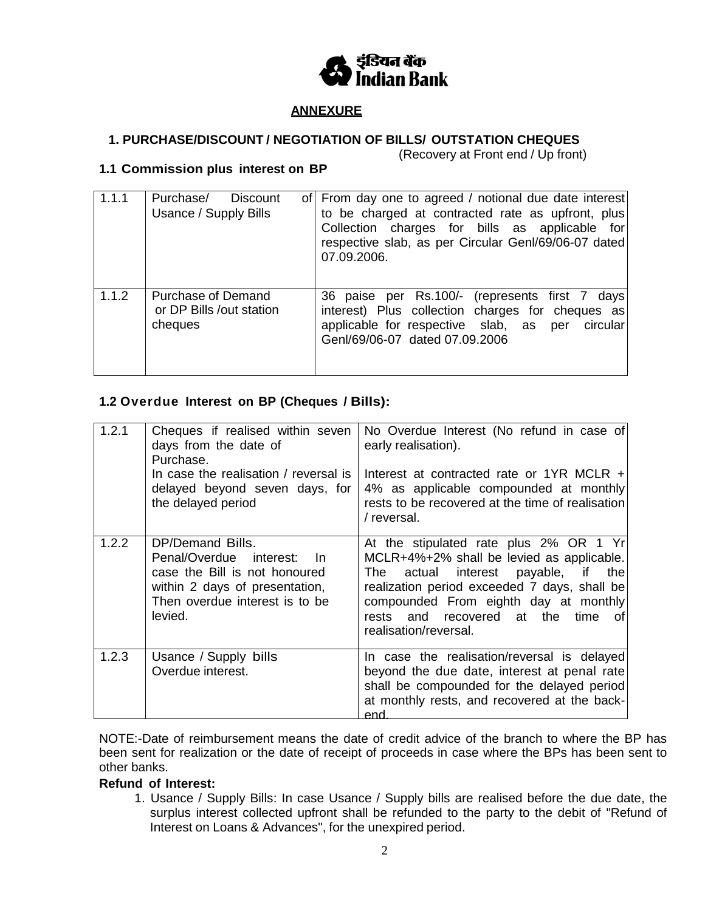

## **ANNEXURE**

# **1. PURCHASE/DISCOUNT / NEGOTIATION OF BILLS/ OUTSTATION CHEQUES**

(Recovery at Front end / Up front)

## **1.1 Commission plus interest on BP**

| 1.1.1 | Purchase/<br><b>Discount</b><br>Usance / Supply Bills     | of From day one to agreed / notional due date interest<br>to be charged at contracted rate as upfront, plus<br>Collection charges for bills as applicable for<br>respective slab, as per Circular Genl/69/06-07 dated<br>07.09.2006. |
|-------|-----------------------------------------------------------|--------------------------------------------------------------------------------------------------------------------------------------------------------------------------------------------------------------------------------------|
| 1.1.2 | Purchase of Demand<br>or DP Bills /out station<br>cheques | 36 paise per Rs.100/- (represents first 7 days)<br>interest) Plus collection charges for cheques as<br>applicable for respective slab, as per circular<br>Genl/69/06-07 dated 07.09.2006                                             |

## **1.2 Overdue Interest on BP (Cheques / Bills):**

| 1.2.1 | Cheques if realised within seven<br>days from the date of<br>Purchase.<br>In case the realisation / reversal is                                                       | No Overdue Interest (No refund in case of<br>early realisation).<br>Interest at contracted rate or 1YR MCLR +                                                                                                                                                                               |
|-------|-----------------------------------------------------------------------------------------------------------------------------------------------------------------------|---------------------------------------------------------------------------------------------------------------------------------------------------------------------------------------------------------------------------------------------------------------------------------------------|
|       | delayed beyond seven days, for<br>the delayed period                                                                                                                  | 4% as applicable compounded at monthly<br>rests to be recovered at the time of realisation<br>/ reversal.                                                                                                                                                                                   |
| 1.2.2 | DP/Demand Bills.<br>Penal/Overdue<br>interest:<br>-In<br>case the Bill is not honoured<br>within 2 days of presentation,<br>Then overdue interest is to be<br>levied. | At the stipulated rate plus 2% OR 1 Yr<br>MCLR+4%+2% shall be levied as applicable.<br>actual interest payable, if the<br>The<br>realization period exceeded 7 days, shall be<br>compounded From eighth day at monthly<br>rests and recovered at the<br>time<br>0t<br>realisation/reversal. |
| 1.2.3 | Usance / Supply bills<br>Overdue interest.                                                                                                                            | In case the realisation/reversal is delayed<br>beyond the due date, interest at penal rate<br>shall be compounded for the delayed period<br>at monthly rests, and recovered at the back-<br>end                                                                                             |

NOTE:-Date of reimbursement means the date of credit advice of the branch to where the BP has been sent for realization or the date of receipt of proceeds in case where the BPs has been sent to other banks.

#### **Refund of Interest:**

1. Usance / Supply Bills: In case Usance / Supply bills are realised before the due date, the surplus interest collected upfront shall be refunded to the party to the debit of "Refund of Interest on Loans & Advances", for the unexpired period.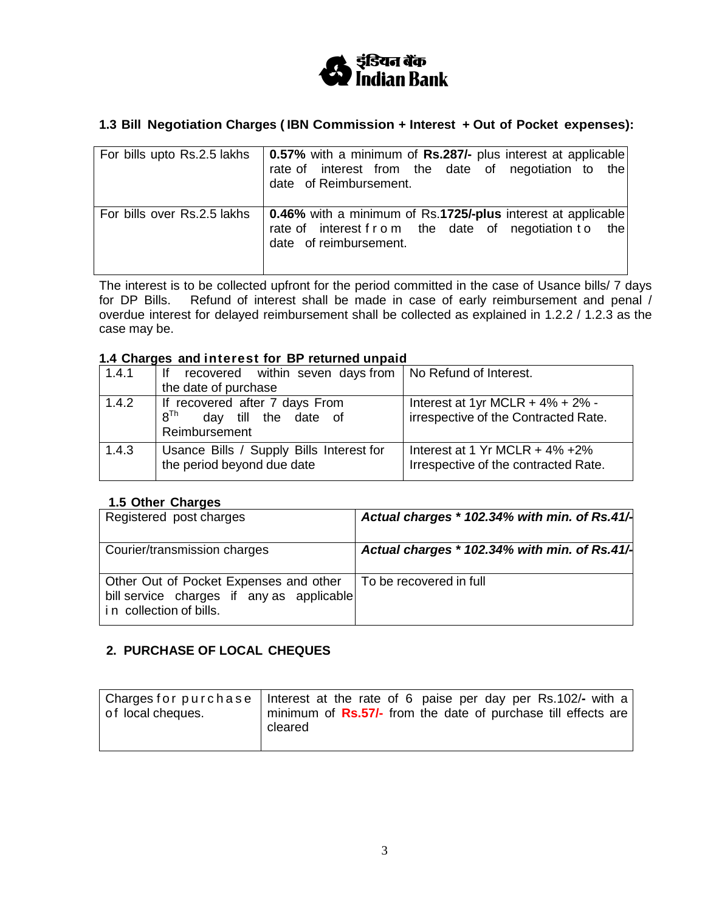

# **1.3 Bill Negotiation Charges ( IBN Commission + Interest + Out of Pocket expenses):**

| For bills upto Rs.2.5 lakhs | <b>0.57%</b> with a minimum of Rs.287/- plus interest at applicable<br>rate of interest from the date of negotiation to the<br>date of Reimbursement. |
|-----------------------------|-------------------------------------------------------------------------------------------------------------------------------------------------------|
| For bills over Rs.2.5 lakhs | 0.46% with a minimum of Rs.1725/-plus interest at applicable<br>rate of interest f r o m the date of negotiation to<br>the<br>date of reimbursement.  |

The interest is to be collected upfront for the period committed in the case of Usance bills/ 7 days for DP Bills. Refund of interest shall be made in case of early reimbursement and penal / overdue interest for delayed reimbursement shall be collected as explained in 1.2.2 / 1.2.3 as the case may be.

#### **1.4 Charges and interest for BP returned unpaid**

| 1.4.1 | recovered within seven days from $\vert$ No Refund of Interest.<br>lf |                                        |
|-------|-----------------------------------------------------------------------|----------------------------------------|
|       | the date of purchase                                                  |                                        |
| 1.4.2 | If recovered after 7 days From                                        | Interest at 1yr MCLR + $4\%$ + $2\%$ - |
|       | 8 <sup>Th</sup><br>day till the date of                               | irrespective of the Contracted Rate.   |
|       | Reimbursement                                                         |                                        |
| 1.4.3 | Usance Bills / Supply Bills Interest for                              | Interest at 1 Yr MCLR $+$ 4% $+2\%$    |
|       | the period beyond due date                                            | Irrespective of the contracted Rate.   |
|       |                                                                       |                                        |

#### **1.5 Other Charges**

| Registered post charges                                                                                        | Actual charges * 102.34% with min. of Rs.41/- |
|----------------------------------------------------------------------------------------------------------------|-----------------------------------------------|
| Courier/transmission charges                                                                                   | Actual charges * 102.34% with min. of Rs.41/- |
| Other Out of Pocket Expenses and other<br>bill service charges if any as applicable<br>in collection of bills. | To be recovered in full                       |

## **2. PURCHASE OF LOCAL CHEQUES**

| of local cheques. | Charges for purchase   Interest at the rate of 6 paise per day per Rs.102/- with a<br>minimum of Rs.57/- from the date of purchase till effects are<br>cleared |
|-------------------|----------------------------------------------------------------------------------------------------------------------------------------------------------------|
|                   |                                                                                                                                                                |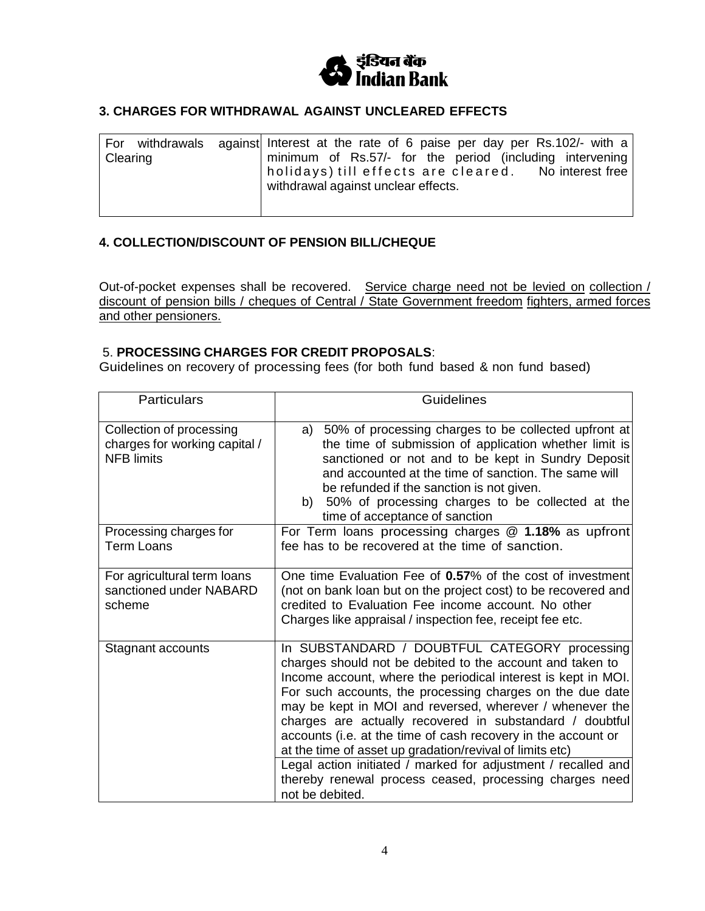

## **3. CHARGES FOR WITHDRAWAL AGAINST UNCLEARED EFFECTS**

| For<br>withdrawals<br>Clearing | against Interest at the rate of 6 paise per day per Rs.102/- with a<br>minimum of Rs.57/- for the period (including intervening<br>withdrawal against unclear effects. |
|--------------------------------|------------------------------------------------------------------------------------------------------------------------------------------------------------------------|
|--------------------------------|------------------------------------------------------------------------------------------------------------------------------------------------------------------------|

## **4. COLLECTION/DISCOUNT OF PENSION BILL/CHEQUE**

Out-of-pocket expenses shall be recovered. Service charge need not be levied on collection / discount of pension bills / cheques of Central / State Government freedom fighters, armed forces and other pensioners.

#### 5. **PROCESSING CHARGES FOR CREDIT PROPOSALS**:

Guidelines on recovery of processing fees (for both fund based & non fund based)

| <b>Particulars</b>                                                             | <b>Guidelines</b>                                                                                                                                                                                                                                                                                                                                                                                                                                                                                                                                                                                                                            |
|--------------------------------------------------------------------------------|----------------------------------------------------------------------------------------------------------------------------------------------------------------------------------------------------------------------------------------------------------------------------------------------------------------------------------------------------------------------------------------------------------------------------------------------------------------------------------------------------------------------------------------------------------------------------------------------------------------------------------------------|
| Collection of processing<br>charges for working capital /<br><b>NFB limits</b> | 50% of processing charges to be collected upfront at<br>a)<br>the time of submission of application whether limit is<br>sanctioned or not and to be kept in Sundry Deposit<br>and accounted at the time of sanction. The same will<br>be refunded if the sanction is not given.<br>50% of processing charges to be collected at the<br>b)<br>time of acceptance of sanction                                                                                                                                                                                                                                                                  |
| Processing charges for<br><b>Term Loans</b>                                    | For Term loans processing charges @ 1.18% as upfront<br>fee has to be recovered at the time of sanction.                                                                                                                                                                                                                                                                                                                                                                                                                                                                                                                                     |
| For agricultural term loans<br>sanctioned under NABARD<br>scheme               | One time Evaluation Fee of 0.57% of the cost of investment<br>(not on bank loan but on the project cost) to be recovered and<br>credited to Evaluation Fee income account. No other<br>Charges like appraisal / inspection fee, receipt fee etc.                                                                                                                                                                                                                                                                                                                                                                                             |
| Stagnant accounts                                                              | In SUBSTANDARD / DOUBTFUL CATEGORY processing<br>charges should not be debited to the account and taken to<br>Income account, where the periodical interest is kept in MOI.<br>For such accounts, the processing charges on the due date<br>may be kept in MOI and reversed, wherever / whenever the<br>charges are actually recovered in substandard / doubtful<br>accounts (i.e. at the time of cash recovery in the account or<br>at the time of asset up gradation/revival of limits etc)<br>Legal action initiated / marked for adjustment / recalled and<br>thereby renewal process ceased, processing charges need<br>not be debited. |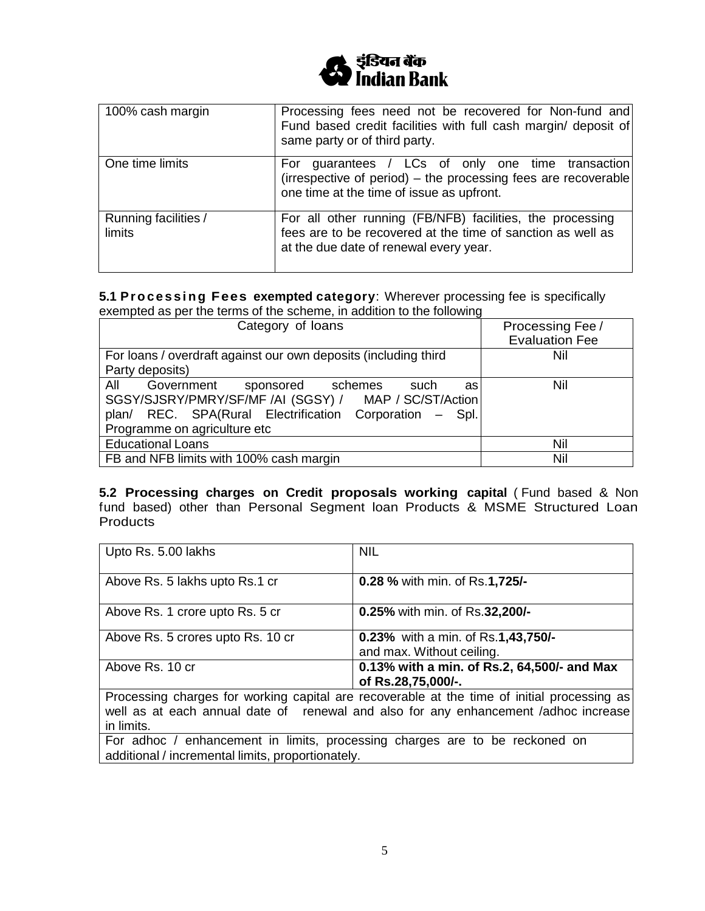

| 100% cash margin               | Processing fees need not be recovered for Non-fund and<br>Fund based credit facilities with full cash margin/ deposit of<br>same party or of third party.           |
|--------------------------------|---------------------------------------------------------------------------------------------------------------------------------------------------------------------|
| One time limits                | guarantees / LCs of only one time transaction<br>For<br>(irrespective of period) - the processing fees are recoverable<br>one time at the time of issue as upfront. |
| Running facilities /<br>limits | For all other running (FB/NFB) facilities, the processing<br>fees are to be recovered at the time of sanction as well as<br>at the due date of renewal every year.  |

**5.1 P r o c e s s i n g Fees exempted category**: Wherever processing fee is specifically exempted as per the terms of the scheme, in addition to the following

| Category of loans                                                                                                                                                                                        | Processing Fee /<br><b>Evaluation Fee</b> |
|----------------------------------------------------------------------------------------------------------------------------------------------------------------------------------------------------------|-------------------------------------------|
| For loans / overdraft against our own deposits (including third                                                                                                                                          | Nil                                       |
| Party deposits)                                                                                                                                                                                          |                                           |
| All<br>Government<br>sponsored schemes<br>such<br>as<br>SGSY/SJSRY/PMRY/SF/MF /AI (SGSY) / MAP / SC/ST/Action<br>plan/ REC. SPA(Rural Electrification Corporation - Spl.<br>Programme on agriculture etc | Nil                                       |
| <b>Educational Loans</b>                                                                                                                                                                                 | Nil                                       |
| FB and NFB limits with 100% cash margin                                                                                                                                                                  | Nil                                       |

**5.2 Processing charges on Credit proposals working capital** ( Fund based & Non fund based) other than Personal Segment loan Products & MSME Structured Loan **Products** 

| Upto Rs. 5.00 lakhs                                                                                                                                                                | <b>NIL</b>                                                        |  |
|------------------------------------------------------------------------------------------------------------------------------------------------------------------------------------|-------------------------------------------------------------------|--|
| Above Rs. 5 lakhs upto Rs.1 cr                                                                                                                                                     | 0.28 % with min. of Rs.1,725/-                                    |  |
| Above Rs. 1 crore upto Rs. 5 cr                                                                                                                                                    | 0.25% with min. of Rs.32,200/-                                    |  |
| Above Rs. 5 crores upto Rs. 10 cr                                                                                                                                                  | 0.23% with a min. of Rs.1,43,750/-<br>and max. Without ceiling.   |  |
| Above Rs. 10 cr                                                                                                                                                                    | 0.13% with a min. of Rs.2, 64,500/- and Max<br>of Rs.28,75,000/-. |  |
| Processing charges for working capital are recoverable at the time of initial processing as<br>well as at each annual date of renewal and also for any enhancement /adhoc increase |                                                                   |  |

in limits. For adhoc / enhancement in limits, processing charges are to be reckoned on

additional / incremental limits, proportionately.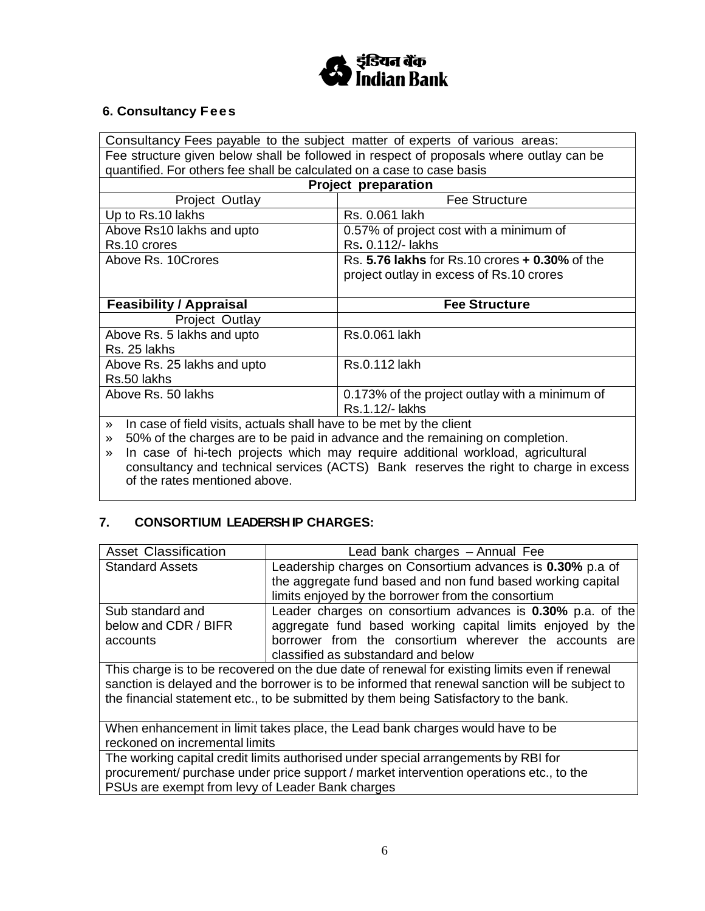

# **6. Consultancy Fees**

Consultancy Fees payable to the subject matter of experts of various areas: Fee structure given below shall be followed in respect of proposals where outlay can be quantified. For others fee shall be calculated on a case to case basis **Project preparation** Project Outlay **Fee Structure** Up to Rs. 10 lakhs Rs. 0.061 lakh Above Rs10 lakhs and upto Rs.10 crores 0.57% of project cost with a minimum of Rs**.** 0.112/- lakhs Above Rs. 10Crores Rs. **Facture Rs. 5.76 lakhs** for Rs.10 crores **+ 0.30%** of the project outlay in excess of Rs.10 crores **Feasibility / Appraisal Fee Structure** Project Outlay Above Rs. 5 lakhs and upto Rs. 25 lakhs Rs.0.061 lakh Above Rs. 25 lakhs and upto Rs.50 lakhs<br>Above Rs. 50 lakhs Rs.0.112 lakh 0.173% of the project outlay with a minimum of Rs.1.12/- lakhs » In case of field visits, actuals shall have to be met by the client

» 50% of the charges are to be paid in advance and the remaining on completion.

» In case of hi-tech projects which may require additional workload, agricultural consultancy and technical services (ACTS) Bank reserves the right to charge in excess of the rates mentioned above.

# **7. CONSORTIUM LEADERSH IP CHARGES:**

| <b>Asset Classification</b>                                                                     | Lead bank charges - Annual Fee                                                                                           |  |
|-------------------------------------------------------------------------------------------------|--------------------------------------------------------------------------------------------------------------------------|--|
| <b>Standard Assets</b>                                                                          | Leadership charges on Consortium advances is 0.30% p.a of<br>the aggregate fund based and non fund based working capital |  |
|                                                                                                 | limits enjoyed by the borrower from the consortium                                                                       |  |
| Sub standard and                                                                                | Leader charges on consortium advances is 0.30% p.a. of the                                                               |  |
| below and CDR / BIFR                                                                            | aggregate fund based working capital limits enjoyed by the                                                               |  |
| accounts                                                                                        | borrower from the consortium wherever the accounts are                                                                   |  |
|                                                                                                 | classified as substandard and below                                                                                      |  |
| This charge is to be recovered on the due date of renewal for existing limits even if renewal   |                                                                                                                          |  |
| sanction is delayed and the borrower is to be informed that renewal sanction will be subject to |                                                                                                                          |  |
| the financial statement etc., to be submitted by them being Satisfactory to the bank.           |                                                                                                                          |  |
|                                                                                                 |                                                                                                                          |  |
| When enhancement in limit takes place, the Lead bank charges would have to be                   |                                                                                                                          |  |
| reckoned on incremental limits                                                                  |                                                                                                                          |  |
| The working capital credit limits authorised under special arrangements by RBI for              |                                                                                                                          |  |
| procurement/ purchase under price support / market intervention operations etc., to the         |                                                                                                                          |  |
| PSUs are exempt from levy of Leader Bank charges                                                |                                                                                                                          |  |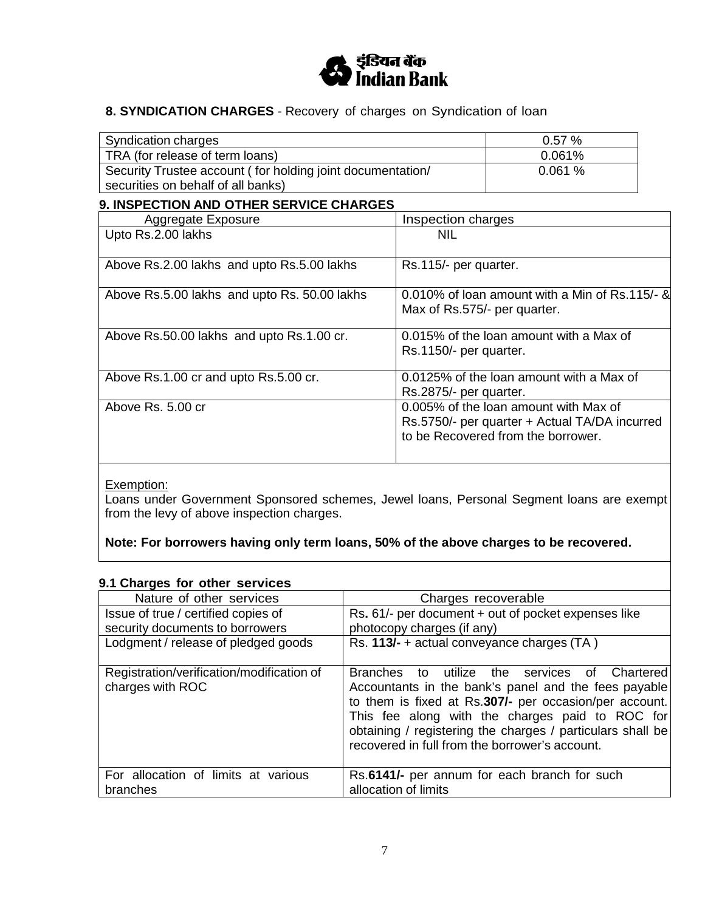

# **8. SYNDICATION CHARGES** - Recovery of charges on Syndication of loan

| <b>9. INSPECTION AND OTHER SERVICE CHARGES</b>             |          |  |
|------------------------------------------------------------|----------|--|
| securities on behalf of all banks)                         |          |  |
| Security Trustee account (for holding joint documentation/ | 0.061%   |  |
| TRA (for release of term loans)                            | 0.061%   |  |
| Syndication charges                                        | $0.57\%$ |  |

| 9. INDI LOTION AND OTHER JERTICE OHARDED     |                                                                                                                              |
|----------------------------------------------|------------------------------------------------------------------------------------------------------------------------------|
| Aggregate Exposure                           | Inspection charges                                                                                                           |
| Upto Rs.2.00 lakhs                           | <b>NIL</b>                                                                                                                   |
| Above Rs.2.00 lakhs and upto Rs.5.00 lakhs   | Rs.115/- per quarter.                                                                                                        |
| Above Rs.5.00 lakhs and upto Rs. 50.00 lakhs | 0.010% of loan amount with a Min of Rs.115/- &<br>Max of Rs.575/- per quarter.                                               |
| Above Rs.50.00 lakhs and upto Rs.1.00 cr.    | 0.015% of the loan amount with a Max of<br>Rs.1150/- per quarter.                                                            |
| Above Rs.1.00 cr and upto Rs.5.00 cr.        | 0.0125% of the loan amount with a Max of<br>Rs.2875/- per quarter.                                                           |
| Above Rs. 5.00 cr                            | 0.005% of the loan amount with Max of<br>Rs.5750/- per quarter + Actual TA/DA incurred<br>to be Recovered from the borrower. |

# Exemption:

Loans under Government Sponsored schemes, Jewel loans, Personal Segment loans are exempt from the levy of above inspection charges.

**Note: For borrowers having only term loans, 50% of the above charges to be recovered.**

### **9.1 Charges for other services**

| Nature of other services                                      | Charges recoverable                                                                                                                                                                                                                                                                                                                   |
|---------------------------------------------------------------|---------------------------------------------------------------------------------------------------------------------------------------------------------------------------------------------------------------------------------------------------------------------------------------------------------------------------------------|
| Issue of true / certified copies of                           | Rs. 61/- per document + out of pocket expenses like                                                                                                                                                                                                                                                                                   |
| security documents to borrowers                               | photocopy charges (if any)                                                                                                                                                                                                                                                                                                            |
| Lodgment / release of pledged goods                           | Rs. 113/- + actual conveyance charges (TA)                                                                                                                                                                                                                                                                                            |
| Registration/verification/modification of<br>charges with ROC | Branches to utilize the services of<br>Chartered<br>Accountants in the bank's panel and the fees payable<br>to them is fixed at Rs.307/- per occasion/per account.<br>This fee along with the charges paid to ROC for<br>obtaining / registering the charges / particulars shall be<br>recovered in full from the borrower's account. |
| For allocation of limits at various<br>branches               | Rs.6141/- per annum for each branch for such<br>allocation of limits                                                                                                                                                                                                                                                                  |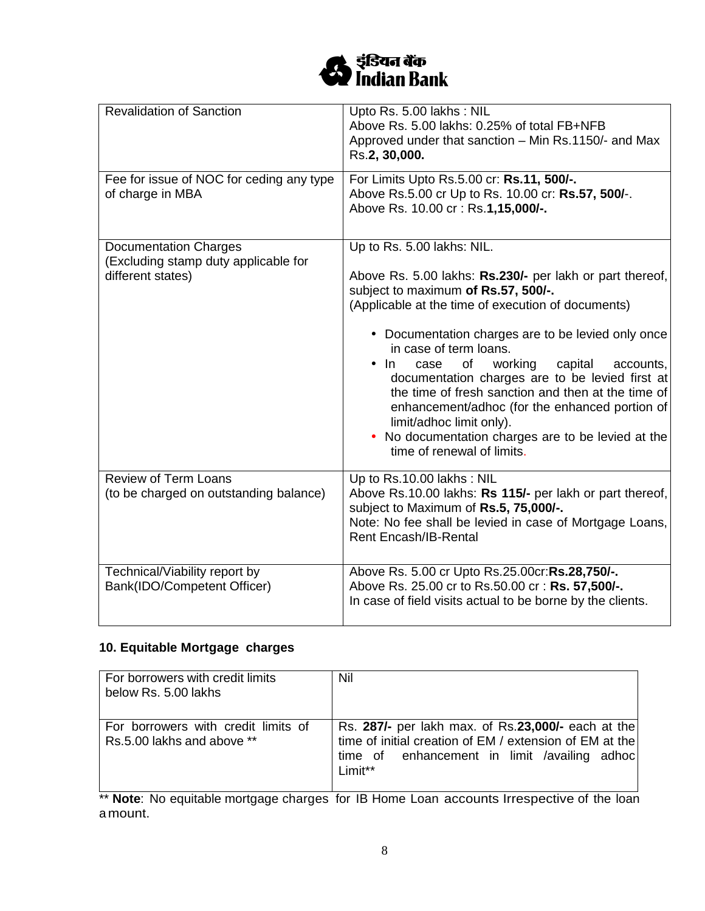

| <b>Revalidation of Sanction</b>                                                           | Upto Rs. 5.00 lakhs: NIL<br>Above Rs. 5.00 lakhs: 0.25% of total FB+NFB<br>Approved under that sanction – Min Rs.1150/- and Max<br>Rs.2, 30,000.                                                                                                                                                                                                                                                                                                                                                                                                                                                                |
|-------------------------------------------------------------------------------------------|-----------------------------------------------------------------------------------------------------------------------------------------------------------------------------------------------------------------------------------------------------------------------------------------------------------------------------------------------------------------------------------------------------------------------------------------------------------------------------------------------------------------------------------------------------------------------------------------------------------------|
| Fee for issue of NOC for ceding any type<br>of charge in MBA                              | For Limits Upto Rs.5.00 cr: Rs.11, 500/-.<br>Above Rs.5.00 cr Up to Rs. 10.00 cr: Rs.57, 500/-.<br>Above Rs. 10.00 cr: Rs.1,15,000/-.                                                                                                                                                                                                                                                                                                                                                                                                                                                                           |
| <b>Documentation Charges</b><br>(Excluding stamp duty applicable for<br>different states) | Up to Rs. 5.00 lakhs: NIL.<br>Above Rs. 5.00 lakhs: Rs.230/- per lakh or part thereof,<br>subject to maximum of Rs.57, 500/-.<br>(Applicable at the time of execution of documents)<br>• Documentation charges are to be levied only once<br>in case of term loans.<br>capital<br>accounts,<br>of<br>working<br>$\bullet$ In<br>case<br>documentation charges are to be levied first at<br>the time of fresh sanction and then at the time of<br>enhancement/adhoc (for the enhanced portion of<br>limit/adhoc limit only).<br>• No documentation charges are to be levied at the<br>time of renewal of limits. |
| <b>Review of Term Loans</b><br>(to be charged on outstanding balance)                     | Up to Rs.10.00 lakhs: NIL<br>Above Rs.10.00 lakhs: Rs 115/- per lakh or part thereof,<br>subject to Maximum of Rs.5, 75,000/-.<br>Note: No fee shall be levied in case of Mortgage Loans,<br><b>Rent Encash/IB-Rental</b>                                                                                                                                                                                                                                                                                                                                                                                       |
| Technical/Viability report by<br>Bank(IDO/Competent Officer)                              | Above Rs. 5.00 cr Upto Rs.25.00cr:Rs.28,750/-.<br>Above Rs. 25.00 cr to Rs.50.00 cr : Rs. 57,500/-.<br>In case of field visits actual to be borne by the clients.                                                                                                                                                                                                                                                                                                                                                                                                                                               |

# **10. Equitable Mortgage charges**

| For borrowers with credit limits<br>below Rs. 5.00 lakhs          | Nil                                                                                                                                                                      |
|-------------------------------------------------------------------|--------------------------------------------------------------------------------------------------------------------------------------------------------------------------|
| For borrowers with credit limits of<br>Rs.5.00 lakhs and above ** | Rs. 287/- per lakh max. of Rs.23,000/- each at the<br>time of initial creation of EM / extension of EM at the<br>time of enhancement in limit /availing adhoc<br>Limit** |

\*\* **Note**: No equitable mortgage charges for IB Home Loan accounts Irrespective of the loan a mount.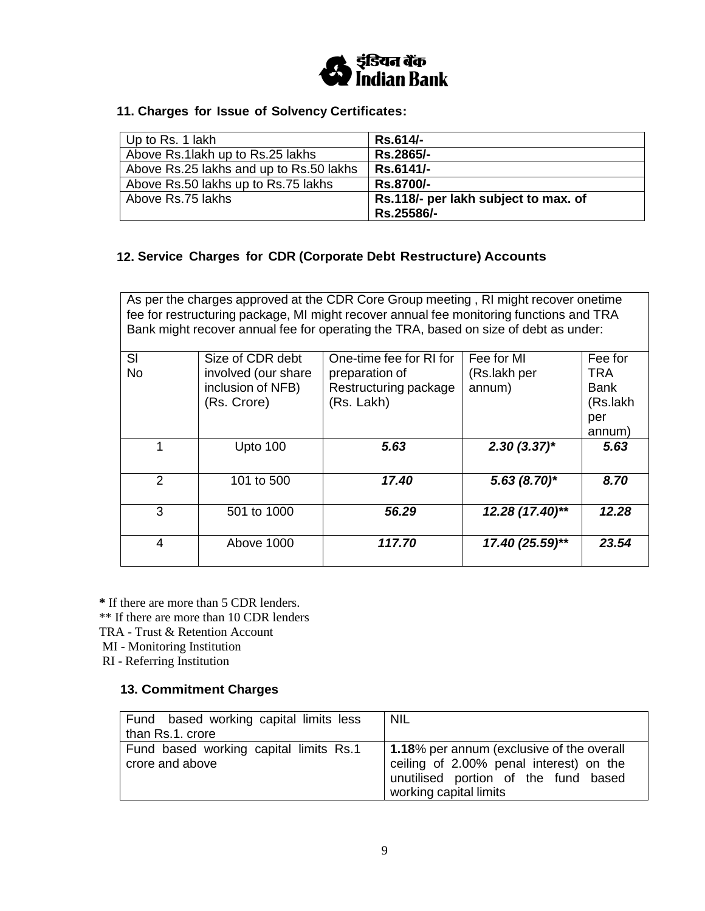

### **11. Charges for Issue of Solvency Certificates:**

| Up to Rs. 1 lakh                        | Rs.614/-                             |
|-----------------------------------------|--------------------------------------|
| Above Rs.1 lakh up to Rs.25 lakhs       | Rs.2865/-                            |
| Above Rs.25 lakhs and up to Rs.50 lakhs | Rs.6141/-                            |
| Above Rs.50 lakhs up to Rs.75 lakhs     | Rs.8700/-                            |
| Above Rs.75 lakhs                       | Rs.118/- per lakh subject to max. of |
|                                         | Rs.25586/-                           |

## **12. Service Charges for CDR (Corporate Debt Restructure) Accounts**

As per the charges approved at the CDR Core Group meeting , RI might recover onetime fee for restructuring package, MI might recover annual fee monitoring functions and TRA Bank might recover annual fee for operating the TRA, based on size of debt as under:

| SI            | Size of CDR debt    | One-time fee for RI for | Fee for MI      | Fee for     |
|---------------|---------------------|-------------------------|-----------------|-------------|
| <b>No</b>     | involved (our share | preparation of          | (Rs.lakh per    | <b>TRA</b>  |
|               | inclusion of NFB)   | Restructuring package   | annum)          | <b>Bank</b> |
|               | (Rs. Crore)         | (Rs. Lakh)              |                 | (Rs.lakh    |
|               |                     |                         |                 | per         |
|               |                     |                         |                 | annum)      |
|               | Upto 100            | 5.63                    | $2.30(3.37)$ *  | 5.63        |
|               |                     |                         |                 |             |
| $\mathcal{P}$ | 101 to 500          | 17.40                   | $5.63(8.70)$ *  | 8.70        |
|               |                     |                         |                 |             |
| 3             | 501 to 1000         | 56.29                   | 12.28 (17.40)** | 12.28       |
|               |                     |                         |                 |             |
| 4             | Above 1000          | 117.70                  | 17.40 (25.59)** | 23.54       |
|               |                     |                         |                 |             |

**\*** If there are more than 5 CDR lenders.

\*\* If there are more than 10 CDR lenders

TRA - Trust & Retention Account

MI - Monitoring Institution

RI - Referring Institution

#### **13. Commitment Charges**

| Fund based working capital limits less                    | <b>NIL</b>                                                                                                                                             |
|-----------------------------------------------------------|--------------------------------------------------------------------------------------------------------------------------------------------------------|
| than Rs.1. crore                                          |                                                                                                                                                        |
| Fund based working capital limits Rs.1<br>crore and above | 1.18% per annum (exclusive of the overall<br>ceiling of 2.00% penal interest) on the<br>unutilised portion of the fund based<br>working capital limits |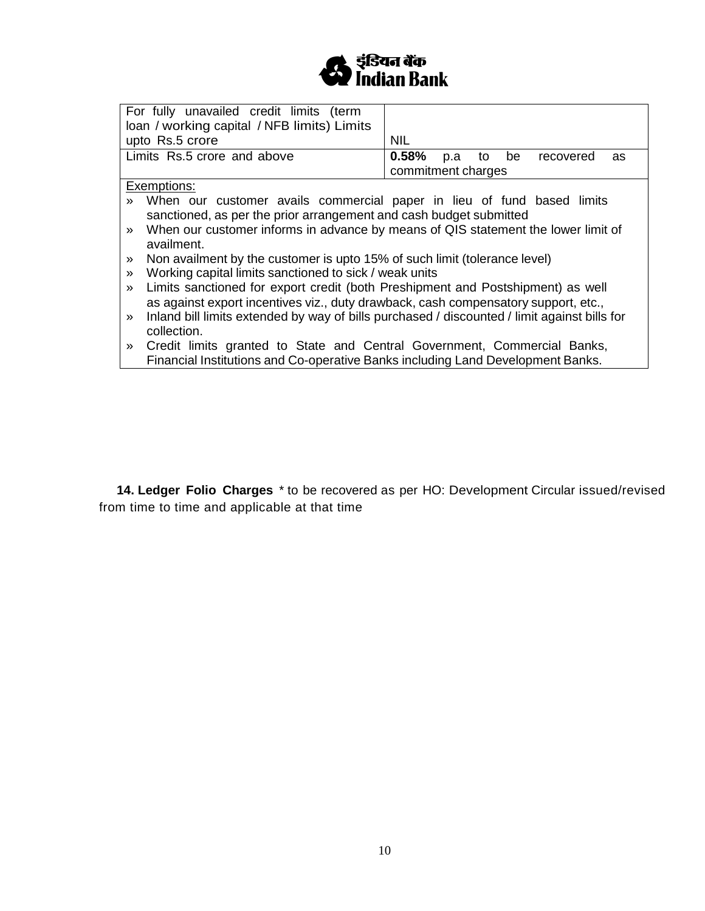

| For fully unavailed credit limits (term<br>loan / working capital / NFB limits) Limits<br>upto Rs.5 crore                                                                                                                                                                                              | <b>NIL</b>                                                         |  |
|--------------------------------------------------------------------------------------------------------------------------------------------------------------------------------------------------------------------------------------------------------------------------------------------------------|--------------------------------------------------------------------|--|
| Limits Rs.5 crore and above                                                                                                                                                                                                                                                                            | be<br><b>0.58%</b> p.a to<br>recovered<br>as<br>commitment charges |  |
| Exemptions:                                                                                                                                                                                                                                                                                            |                                                                    |  |
| When our customer avails commercial paper in lieu of fund based limits<br>sanctioned, as per the prior arrangement and cash budget submitted<br>When our customer informs in advance by means of QIS statement the lower limit of<br>$\gg$                                                             |                                                                    |  |
| availment.<br>Non availment by the customer is upto 15% of such limit (tolerance level)<br>$\gg$<br>Working capital limits sanctioned to sick / weak units<br>$\gg$                                                                                                                                    |                                                                    |  |
| Limits sanctioned for export credit (both Preshipment and Postshipment) as well<br>$\gg$<br>as against export incentives viz., duty drawback, cash compensatory support, etc.,<br>Inland bill limits extended by way of bills purchased / discounted / limit against bills for<br>$\gg$<br>collection. |                                                                    |  |
| Credit limits granted to State and Central Government, Commercial Banks,<br>$\gg$<br>Financial Institutions and Co-operative Banks including Land Development Banks.                                                                                                                                   |                                                                    |  |

**14. Ledger Folio Charges** \* to be recovered as per HO: Development Circular issued/revised from time to time and applicable at that time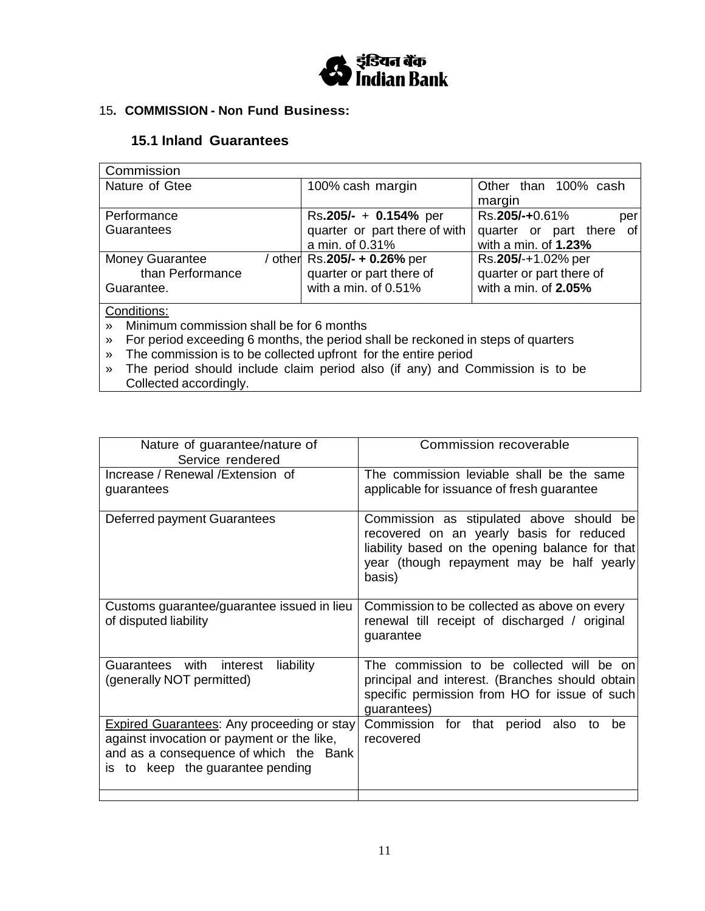

## 15**. COMMISSION - Non Fund Business:**

# **15.1 Inland Guarantees**

| Commission             |                               |                             |
|------------------------|-------------------------------|-----------------------------|
| Nature of Gtee         | 100% cash margin              | Other than 100% cash        |
|                        |                               | margin                      |
| Performance            | Rs.205/- + 0.154% per         | Rs.205/-+0.61%<br>per       |
| <b>Guarantees</b>      | quarter or part there of with | of<br>quarter or part there |
|                        | a min. of 0.31%               | with a min. of 1.23%        |
| <b>Money Guarantee</b> | / other Rs.205/- + 0.26% per  | Rs.205/-+1.02% per          |
| than Performance       | quarter or part there of      | quarter or part there of    |
| Guarantee.             | with a min. of 0.51%          | with a min. of 2.05%        |
| Conditions:            |                               |                             |

» Minimum commission shall be for 6 months

» For period exceeding 6 months, the period shall be reckoned in steps of quarters

» The commission is to be collected upfront for the entire period

» The period should include claim period also (if any) and Commission is to be Collected accordingly.

| Nature of guarantee/nature of<br>Service rendered                                                                                                                             | Commission recoverable                                                                                                                                                                         |
|-------------------------------------------------------------------------------------------------------------------------------------------------------------------------------|------------------------------------------------------------------------------------------------------------------------------------------------------------------------------------------------|
| Increase / Renewal / Extension of<br>guarantees                                                                                                                               | The commission leviable shall be the same<br>applicable for issuance of fresh guarantee                                                                                                        |
| Deferred payment Guarantees                                                                                                                                                   | Commission as stipulated above should be<br>recovered on an yearly basis for reduced<br>liability based on the opening balance for that<br>year (though repayment may be half yearly<br>basis) |
| Customs guarantee/guarantee issued in lieu<br>of disputed liability                                                                                                           | Commission to be collected as above on every<br>renewal till receipt of discharged / original<br>guarantee                                                                                     |
| Guarantees with interest<br>liability<br>(generally NOT permitted)                                                                                                            | The commission to be collected will be on<br>principal and interest. (Branches should obtain<br>specific permission from HO for issue of such<br>guarantees)                                   |
| <b>Expired Guarantees: Any proceeding or stay</b><br>against invocation or payment or the like,<br>and as a consequence of which the Bank<br>is to keep the guarantee pending | Commission for that period also<br>be<br>to<br>recovered                                                                                                                                       |
|                                                                                                                                                                               |                                                                                                                                                                                                |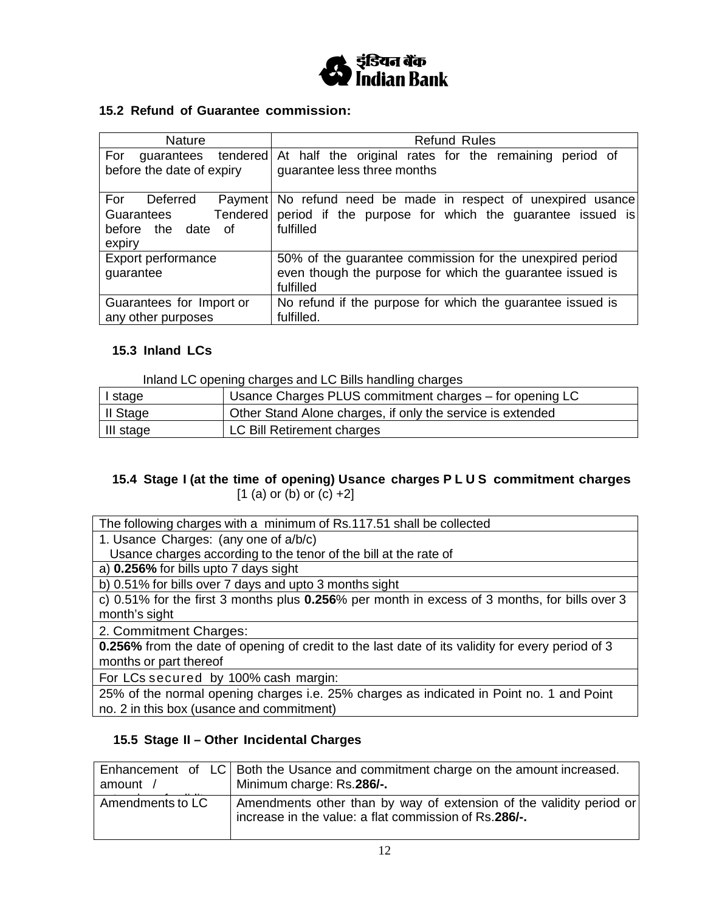

## **15.2 Refund of Guarantee commission:**

| <b>Nature</b>                                                                           | <b>Refund Rules</b>                                                                                                                |
|-----------------------------------------------------------------------------------------|------------------------------------------------------------------------------------------------------------------------------------|
| For<br>tendered<br>guarantees<br>before the date of expiry                              | At half the original rates for the remaining<br>period of<br>guarantee less three months                                           |
| Deferred<br>For<br>Payment<br>Tendered<br>Guarantees<br>before the date<br>of<br>expiry | No refund need be made in respect of unexpired usance<br>period if the purpose for which the guarantee issued is<br>fulfilled      |
| Export performance<br>guarantee                                                         | 50% of the guarantee commission for the unexpired period<br>even though the purpose for which the guarantee issued is<br>fulfilled |
| Guarantees for Import or<br>any other purposes                                          | No refund if the purpose for which the guarantee issued is<br>fulfilled.                                                           |

#### **15.3 Inland LCs**

Inland LC opening charges and LC Bills handling charges

| I stage   | Usance Charges PLUS commitment charges – for opening LC    |
|-----------|------------------------------------------------------------|
| II Stage  | Other Stand Alone charges, if only the service is extended |
| III stage | LC Bill Retirement charges                                 |

## **15.4 Stage I (at the time of opening) Usance charges P L U S commitment charges**  $[1 (a)$  or  $(b)$  or  $(c) +2]$

The following charges with a minimum of Rs.117.51 shall be collected

1. Usance Charges: (any one of a/b/c)

Usance charges according to the tenor of the bill at the rate of

a) **0.256%** for bills upto 7 days sight

b) 0.51% for bills over 7 days and upto 3 months sight

c) 0.51% for the first 3 months plus **0.256**% per month in excess of 3 months, for bills over 3 month's sight

2. Commitment Charges:

**0.256%** from the date of opening of credit to the last date of its validity for every period of 3 months or part thereof

For LCs secured by 100% cash margin:

25% of the normal opening charges i.e. 25% charges as indicated in Point no. 1 and Point no. 2 in this box (usance and commitment)

### **15.5 Stage II – Other Incidental Charges**

| amount,          | Enhancement of LC Both the Usance and commitment charge on the amount increased.<br>Minimum charge: Rs.286/-.                |
|------------------|------------------------------------------------------------------------------------------------------------------------------|
| Amendments to LC | Amendments other than by way of extension of the validity period or<br>increase in the value: a flat commission of Rs.286/-. |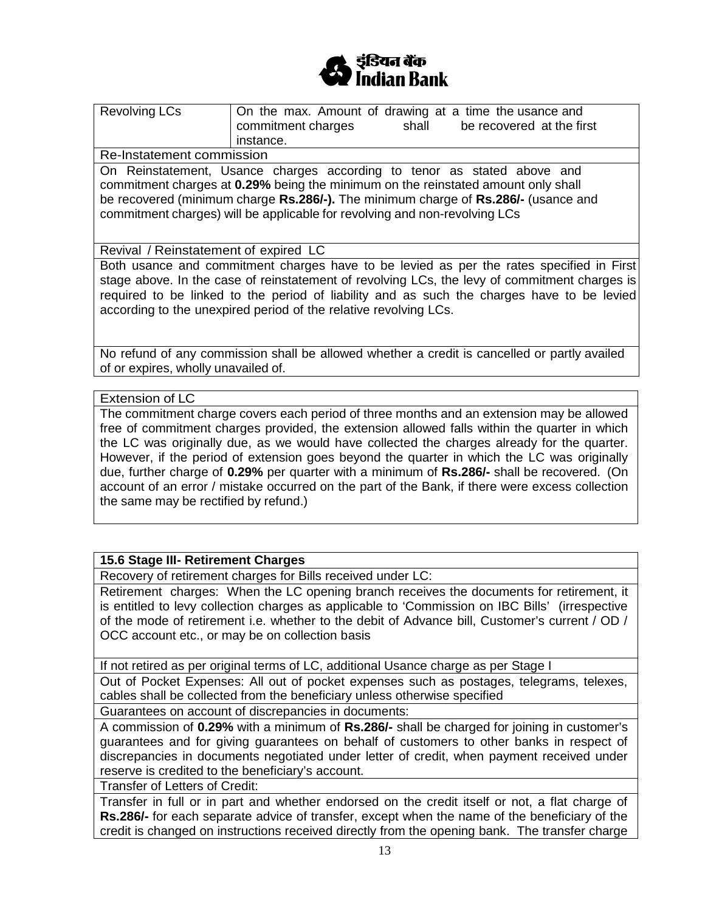

| <b>Revolving LCs</b>                                                                          | On the max. Amount of drawing at a time the usance and                                   |  |  |  |
|-----------------------------------------------------------------------------------------------|------------------------------------------------------------------------------------------|--|--|--|
|                                                                                               | commitment charges<br>shall<br>be recovered at the first                                 |  |  |  |
|                                                                                               | instance.                                                                                |  |  |  |
| Re-Instatement commission                                                                     |                                                                                          |  |  |  |
|                                                                                               | On Reinstatement, Usance charges according to tenor as stated above and                  |  |  |  |
| commitment charges at 0.29% being the minimum on the reinstated amount only shall             |                                                                                          |  |  |  |
| be recovered (minimum charge Rs.286/-). The minimum charge of Rs.286/- (usance and            |                                                                                          |  |  |  |
| commitment charges) will be applicable for revolving and non-revolving LCs                    |                                                                                          |  |  |  |
|                                                                                               |                                                                                          |  |  |  |
|                                                                                               |                                                                                          |  |  |  |
| Revival / Reinstatement of expired LC                                                         |                                                                                          |  |  |  |
|                                                                                               | Both usance and commitment charges have to be levied as per the rates specified in First |  |  |  |
| stage above. In the case of reinstatement of revolving LCs, the levy of commitment charges is |                                                                                          |  |  |  |
| required to be linked to the period of liability and as such the charges have to be levied    |                                                                                          |  |  |  |
| according to the unexpired period of the relative revolving LCs.                              |                                                                                          |  |  |  |
|                                                                                               |                                                                                          |  |  |  |
|                                                                                               |                                                                                          |  |  |  |
| No refund of any commission shall be allowed whether a credit is cancelled or partly availed  |                                                                                          |  |  |  |
| of or expires, wholly unavailed of.                                                           |                                                                                          |  |  |  |
|                                                                                               |                                                                                          |  |  |  |
| <b>Extension of LC</b>                                                                        |                                                                                          |  |  |  |
| The commitment charge covers each period of three months and an extension may be allowed      |                                                                                          |  |  |  |

The commitment charge covers each period of three months and an extension may be allowed free of commitment charges provided, the extension allowed falls within the quarter in which the LC was originally due, as we would have collected the charges already for the quarter. However, if the period of extension goes beyond the quarter in which the LC was originally due, further charge of **0.29%** per quarter with a minimum of **Rs.286/-** shall be recovered. (On account of an error / mistake occurred on the part of the Bank, if there were excess collection the same may be rectified by refund.)

#### **15.6 Stage III- Retirement Charges**

Recovery of retirement charges for Bills received under LC:

Retirement charges: When the LC opening branch receives the documents for retirement, it is entitled to levy collection charges as applicable to 'Commission on IBC Bills' (irrespective of the mode of retirement i.e. whether to the debit of Advance bill, Customer's current / OD / OCC account etc., or may be on collection basis

If not retired as per original terms of LC, additional Usance charge as per Stage I

Out of Pocket Expenses: All out of pocket expenses such as postages, telegrams, telexes, cables shall be collected from the beneficiary unless otherwise specified

Guarantees on account of discrepancies in documents:

A commission of **0.29%** with a minimum of **Rs.286/-** shall be charged for joining in customer's guarantees and for giving guarantees on behalf of customers to other banks in respect of discrepancies in documents negotiated under letter of credit, when payment received under reserve is credited to the beneficiary's account.

Transfer of Letters of Credit:

Transfer in full or in part and whether endorsed on the credit itself or not, a flat charge of **Rs.286/-** for each separate advice of transfer, except when the name of the beneficiary of the credit is changed on instructions received directly from the opening bank. The transfer charge